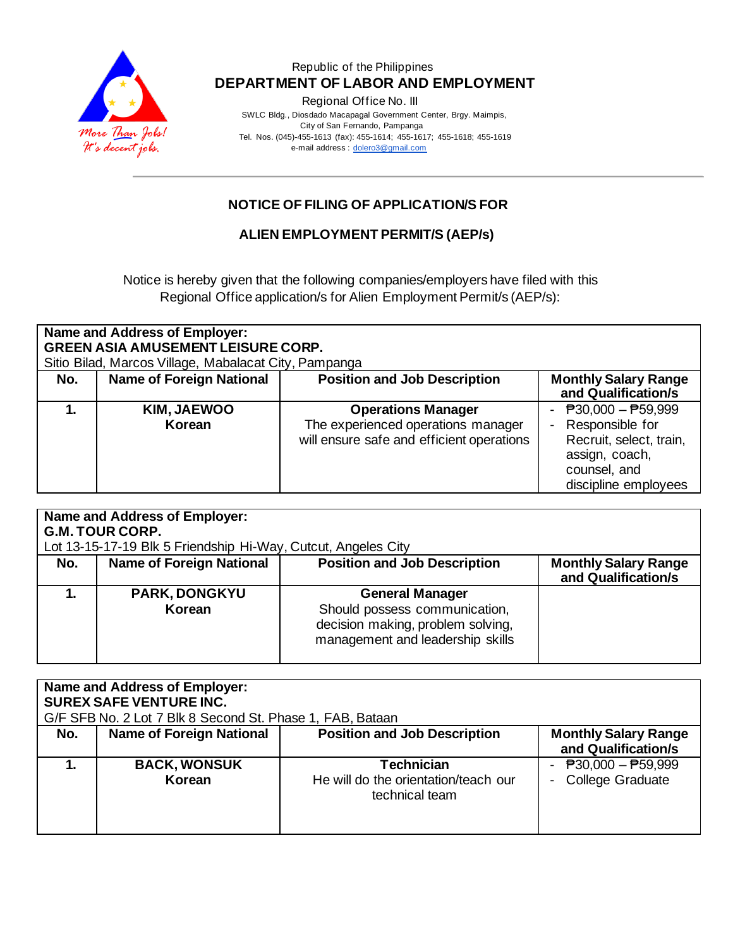

Regional Office No. III

 SWLC Bldg., Diosdado Macapagal Government Center, Brgy. Maimpis, City of San Fernando, Pampanga Tel. Nos. (045)-455-1613 (fax): 455-1614; 455-1617; 455-1618; 455-1619 e-mail address [: dolero3@gmail.com](mailto:dolero3@gmail.com)

# **NOTICE OF FILING OF APPLICATION/S FOR**

### **ALIEN EMPLOYMENT PERMIT/S (AEP/s)**

Notice is hereby given that the following companies/employers have filed with this Regional Office application/s for Alien Employment Permit/s (AEP/s):

| Name and Address of Employer:<br><b>GREEN ASIA AMUSEMENT LEISURE CORP.</b><br>Sitio Bilad, Marcos Village, Mabalacat City, Pampanga |                                 |                                                                                                              |                                                                                                                               |
|-------------------------------------------------------------------------------------------------------------------------------------|---------------------------------|--------------------------------------------------------------------------------------------------------------|-------------------------------------------------------------------------------------------------------------------------------|
| No.                                                                                                                                 | <b>Name of Foreign National</b> | <b>Position and Job Description</b>                                                                          | <b>Monthly Salary Range</b><br>and Qualification/s                                                                            |
|                                                                                                                                     | <b>KIM, JAEWOO</b><br>Korean    | <b>Operations Manager</b><br>The experienced operations manager<br>will ensure safe and efficient operations | - $P30,000 - P59,999$<br>Responsible for<br>Recruit, select, train,<br>assign, coach,<br>counsel, and<br>discipline employees |

|     | Name and Address of Employer:                                 |                                                                                                                                  |                                                    |
|-----|---------------------------------------------------------------|----------------------------------------------------------------------------------------------------------------------------------|----------------------------------------------------|
|     | <b>G.M. TOUR CORP.</b>                                        |                                                                                                                                  |                                                    |
|     | Lot 13-15-17-19 Blk 5 Friendship Hi-Way, Cutcut, Angeles City |                                                                                                                                  |                                                    |
| No. | <b>Name of Foreign National</b>                               | <b>Position and Job Description</b>                                                                                              | <b>Monthly Salary Range</b><br>and Qualification/s |
|     | <b>PARK, DONGKYU</b><br>Korean                                | <b>General Manager</b><br>Should possess communication,<br>decision making, problem solving,<br>management and leadership skills |                                                    |

| Name and Address of Employer:<br><b>SUREX SAFE VENTURE INC.</b><br>G/F SFB No. 2 Lot 7 Blk 8 Second St. Phase 1, FAB, Bataan |                                 |                                                                      |                                                                      |
|------------------------------------------------------------------------------------------------------------------------------|---------------------------------|----------------------------------------------------------------------|----------------------------------------------------------------------|
| No.                                                                                                                          | <b>Name of Foreign National</b> | <b>Position and Job Description</b>                                  | <b>Monthly Salary Range</b><br>and Qualification/s                   |
|                                                                                                                              | <b>BACK, WONSUK</b><br>Korean   | Technician<br>He will do the orientation/teach our<br>technical team | $\overline{P}30,000 - \overline{P}59,999$<br><b>College Graduate</b> |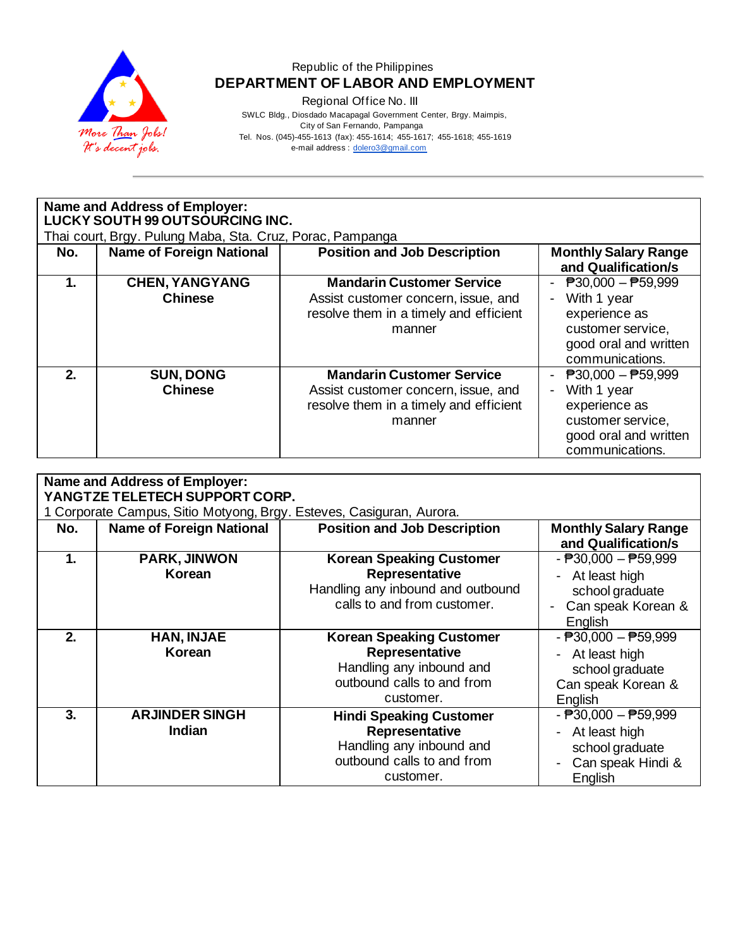

Regional Office No. III

 SWLC Bldg., Diosdado Macapagal Government Center, Brgy. Maimpis, City of San Fernando, Pampanga Tel. Nos. (045)-455-1613 (fax): 455-1614; 455-1617; 455-1618; 455-1619

e-mail address [: dolero3@gmail.com](mailto:dolero3@gmail.com)

|         | Name and Address of Employer:                             |                                        |                                           |  |  |  |
|---------|-----------------------------------------------------------|----------------------------------------|-------------------------------------------|--|--|--|
|         | LUCKY SOUTH 99 OUTSOURCING INC.                           |                                        |                                           |  |  |  |
|         | Thai court, Brgy. Pulung Maba, Sta. Cruz, Porac, Pampanga |                                        |                                           |  |  |  |
| No.     | <b>Name of Foreign National</b>                           | <b>Position and Job Description</b>    | <b>Monthly Salary Range</b>               |  |  |  |
|         |                                                           |                                        | and Qualification/s                       |  |  |  |
| 1.      | <b>CHEN, YANGYANG</b>                                     | <b>Mandarin Customer Service</b>       | $P30,000 - P59,999$                       |  |  |  |
|         | <b>Chinese</b>                                            | Assist customer concern, issue, and    | With 1 year                               |  |  |  |
|         |                                                           | resolve them in a timely and efficient | experience as                             |  |  |  |
|         |                                                           | manner                                 | customer service,                         |  |  |  |
|         |                                                           |                                        | good oral and written                     |  |  |  |
|         |                                                           |                                        | communications.                           |  |  |  |
| $2_{-}$ | <b>SUN, DONG</b>                                          | <b>Mandarin Customer Service</b>       | $\overline{P}30,000 - \overline{P}59,999$ |  |  |  |
|         | <b>Chinese</b>                                            | Assist customer concern, issue, and    | With 1 year                               |  |  |  |
|         |                                                           | resolve them in a timely and efficient | experience as                             |  |  |  |
|         |                                                           | manner                                 | customer service,                         |  |  |  |
|         |                                                           |                                        | good oral and written                     |  |  |  |
|         |                                                           |                                        | communications.                           |  |  |  |

| <b>Name and Address of Employer:</b><br>YANGTZE TELETECH SUPPORT CORP. |                                                                      |                                                                                                                          |                                                                                                                                                 |  |
|------------------------------------------------------------------------|----------------------------------------------------------------------|--------------------------------------------------------------------------------------------------------------------------|-------------------------------------------------------------------------------------------------------------------------------------------------|--|
|                                                                        | 1 Corporate Campus, Sitio Motyong, Brgy. Esteves, Casiguran, Aurora. |                                                                                                                          |                                                                                                                                                 |  |
| No.                                                                    | <b>Name of Foreign National</b>                                      | <b>Position and Job Description</b>                                                                                      | <b>Monthly Salary Range</b><br>and Qualification/s                                                                                              |  |
| 1.                                                                     | <b>PARK, JINWON</b><br>Korean                                        | <b>Korean Speaking Customer</b><br>Representative<br>Handling any inbound and outbound<br>calls to and from customer.    | $ \overline{P}30,000 - \overline{P}59,999$<br>At least high<br>$\qquad \qquad \blacksquare$<br>school graduate<br>Can speak Korean &<br>English |  |
| 2 <sub>1</sub>                                                         | HAN, INJAE<br>Korean                                                 | <b>Korean Speaking Customer</b><br>Representative<br>Handling any inbound and<br>outbound calls to and from<br>customer. | $ \overline{P}30,000 - \overline{P}59,999$<br>At least high<br>school graduate<br>Can speak Korean &<br>English                                 |  |
| 3.                                                                     | <b>ARJINDER SINGH</b><br><b>Indian</b>                               | <b>Hindi Speaking Customer</b><br>Representative<br>Handling any inbound and<br>outbound calls to and from<br>customer.  | $ \overline{P}30,000 - \overline{P}59,999$<br>At least high<br>$\overline{\phantom{a}}$<br>school graduate<br>Can speak Hindi &<br>English      |  |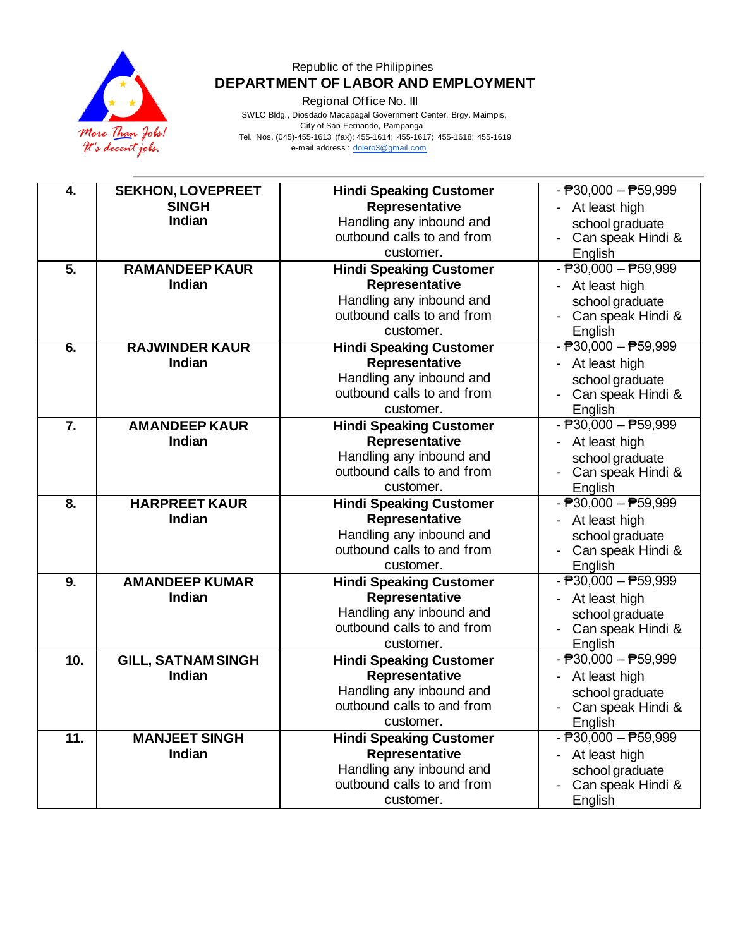

Regional Office No. III

 SWLC Bldg., Diosdado Macapagal Government Center, Brgy. Maimpis, City of San Fernando, Pampanga Tel. Nos. (045)-455-1613 (fax): 455-1614; 455-1617; 455-1618; 455-1619

e-mail address [: dolero3@gmail.com](mailto:dolero3@gmail.com)

| <b>SEKHON, LOVEPREET</b><br><b>SINGH</b><br>Representative<br>- At least high<br>Indian<br>Handling any inbound and<br>school graduate<br>outbound calls to and from<br>Can speak Hindi &<br>customer.<br>English<br>$-B30,000 - B59,999$<br>5.<br><b>RAMANDEEP KAUR</b><br><b>Hindi Speaking Customer</b><br>Representative<br>Indian<br>- At least high<br>Handling any inbound and<br>school graduate<br>outbound calls to and from<br>- Can speak Hindi & |
|---------------------------------------------------------------------------------------------------------------------------------------------------------------------------------------------------------------------------------------------------------------------------------------------------------------------------------------------------------------------------------------------------------------------------------------------------------------|
|                                                                                                                                                                                                                                                                                                                                                                                                                                                               |
|                                                                                                                                                                                                                                                                                                                                                                                                                                                               |
|                                                                                                                                                                                                                                                                                                                                                                                                                                                               |
|                                                                                                                                                                                                                                                                                                                                                                                                                                                               |
|                                                                                                                                                                                                                                                                                                                                                                                                                                                               |
|                                                                                                                                                                                                                                                                                                                                                                                                                                                               |
|                                                                                                                                                                                                                                                                                                                                                                                                                                                               |
|                                                                                                                                                                                                                                                                                                                                                                                                                                                               |
| customer.<br>English                                                                                                                                                                                                                                                                                                                                                                                                                                          |
| $ \overline{P}30,000  \overline{P}59,999$<br>6.<br><b>RAJWINDER KAUR</b><br><b>Hindi Speaking Customer</b>                                                                                                                                                                                                                                                                                                                                                    |
| Representative<br>Indian<br>- At least high                                                                                                                                                                                                                                                                                                                                                                                                                   |
| Handling any inbound and<br>school graduate                                                                                                                                                                                                                                                                                                                                                                                                                   |
| outbound calls to and from<br>- Can speak Hindi &                                                                                                                                                                                                                                                                                                                                                                                                             |
| customer.<br>English<br>$-B30,000 - B59,999$<br>$\overline{7}$ .                                                                                                                                                                                                                                                                                                                                                                                              |
| <b>AMANDEEP KAUR</b><br><b>Hindi Speaking Customer</b><br>Indian<br>Representative                                                                                                                                                                                                                                                                                                                                                                            |
| - At least high<br>Handling any inbound and                                                                                                                                                                                                                                                                                                                                                                                                                   |
| school graduate<br>outbound calls to and from<br>Can speak Hindi &                                                                                                                                                                                                                                                                                                                                                                                            |
| customer.<br>English                                                                                                                                                                                                                                                                                                                                                                                                                                          |
| $-B30,000 - B59,999$<br><b>HARPREET KAUR</b><br>8.<br><b>Hindi Speaking Customer</b>                                                                                                                                                                                                                                                                                                                                                                          |
| Indian<br>Representative<br>- At least high                                                                                                                                                                                                                                                                                                                                                                                                                   |
| Handling any inbound and<br>school graduate                                                                                                                                                                                                                                                                                                                                                                                                                   |
| outbound calls to and from<br>- Can speak Hindi &                                                                                                                                                                                                                                                                                                                                                                                                             |
| customer.<br>English                                                                                                                                                                                                                                                                                                                                                                                                                                          |
| $ \overline{P}30,000 - \overline{P}59,999$<br>9.<br><b>AMANDEEP KUMAR</b><br><b>Hindi Speaking Customer</b>                                                                                                                                                                                                                                                                                                                                                   |
| Representative<br>Indian<br>- At least high                                                                                                                                                                                                                                                                                                                                                                                                                   |
| Handling any inbound and<br>school graduate                                                                                                                                                                                                                                                                                                                                                                                                                   |
| outbound calls to and from<br>- Can speak Hindi &                                                                                                                                                                                                                                                                                                                                                                                                             |
| customer.<br>English                                                                                                                                                                                                                                                                                                                                                                                                                                          |
| $ \overline{P}30,000 - \overline{P}59,999$<br>10.<br><b>GILL, SATNAM SINGH</b><br><b>Hindi Speaking Customer</b>                                                                                                                                                                                                                                                                                                                                              |
| Indian<br>Representative<br>- At least high                                                                                                                                                                                                                                                                                                                                                                                                                   |
| Handling any inbound and<br>school graduate                                                                                                                                                                                                                                                                                                                                                                                                                   |
| outbound calls to and from<br>Can speak Hindi &                                                                                                                                                                                                                                                                                                                                                                                                               |
| customer.<br>English                                                                                                                                                                                                                                                                                                                                                                                                                                          |
| $-B30,000 - B59,999$<br>11.<br><b>MANJEET SINGH</b><br><b>Hindi Speaking Customer</b>                                                                                                                                                                                                                                                                                                                                                                         |
| Representative<br>Indian<br>- At least high<br>Handling any inbound and                                                                                                                                                                                                                                                                                                                                                                                       |
| school graduate<br>outbound calls to and from<br>Can speak Hindi &                                                                                                                                                                                                                                                                                                                                                                                            |
| English<br>customer.                                                                                                                                                                                                                                                                                                                                                                                                                                          |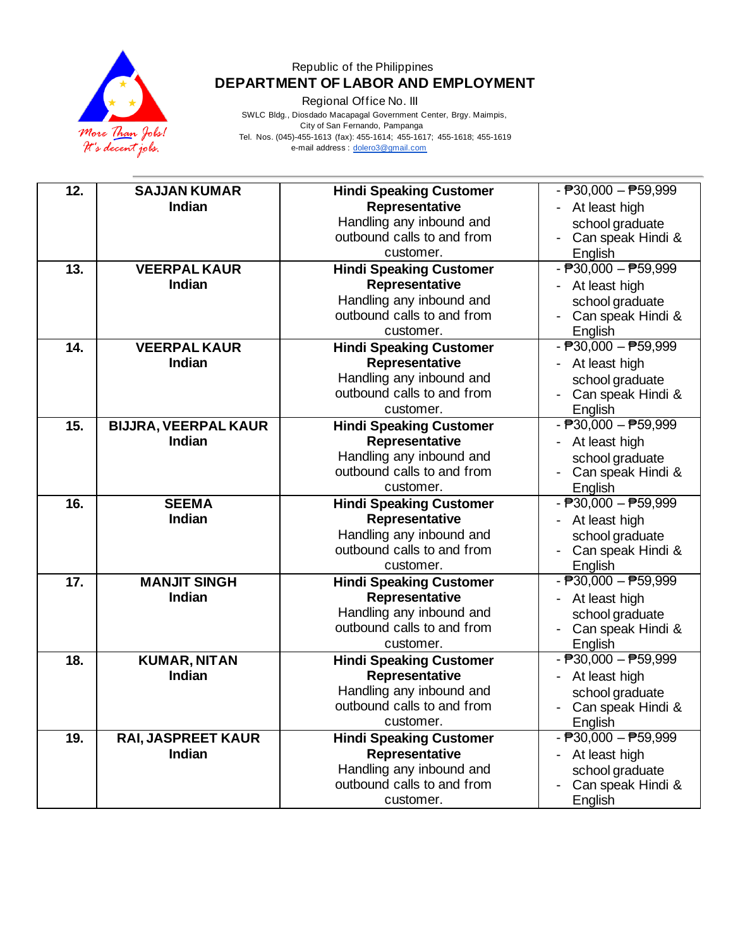

Regional Office No. III

 SWLC Bldg., Diosdado Macapagal Government Center, Brgy. Maimpis, City of San Fernando, Pampanga Tel. Nos. (045)-455-1613 (fax): 455-1614; 455-1617; 455-1618; 455-1619 e-mail address [: dolero3@gmail.com](mailto:dolero3@gmail.com)

| 12. | <b>SAJJAN KUMAR</b>                          | <b>Hindi Speaking Customer</b>                   | $ \overline{P}30,000 - \overline{P}59,999$            |
|-----|----------------------------------------------|--------------------------------------------------|-------------------------------------------------------|
|     | <b>Indian</b>                                | Representative                                   | - At least high                                       |
|     |                                              | Handling any inbound and                         | school graduate                                       |
|     |                                              | outbound calls to and from                       | - Can speak Hindi &                                   |
|     |                                              | customer.                                        | English                                               |
| 13. | <b>VEERPAL KAUR</b>                          | <b>Hindi Speaking Customer</b>                   | $ \overline{P}30,000 - \overline{P}59,999$            |
|     | <b>Indian</b>                                | Representative                                   | At least high                                         |
|     |                                              | Handling any inbound and                         | school graduate                                       |
|     |                                              | outbound calls to and from                       | Can speak Hindi &                                     |
|     |                                              | customer.                                        | English                                               |
| 14. | <b>VEERPAL KAUR</b>                          | <b>Hindi Speaking Customer</b>                   | $ \overline{P}30,000 - \overline{P}59,999$            |
|     | Indian                                       | Representative                                   | - At least high                                       |
|     |                                              | Handling any inbound and                         | school graduate                                       |
|     |                                              | outbound calls to and from                       | Can speak Hindi &                                     |
|     |                                              | customer.                                        | English<br>$ \overline{P}30,000 - \overline{P}59,999$ |
| 15. | <b>BIJJRA, VEERPAL KAUR</b><br><b>Indian</b> | <b>Hindi Speaking Customer</b>                   |                                                       |
|     |                                              | Representative<br>Handling any inbound and       | - At least high                                       |
|     |                                              | outbound calls to and from                       | school graduate<br>- Can speak Hindi &                |
|     |                                              | customer.                                        | English                                               |
|     |                                              |                                                  |                                                       |
|     |                                              |                                                  |                                                       |
| 16. | <b>SEEMA</b>                                 | <b>Hindi Speaking Customer</b>                   | $ \overline{P}30,000 - \overline{P}59,999$            |
|     | Indian                                       | Representative                                   | At least high                                         |
|     |                                              | Handling any inbound and                         | school graduate                                       |
|     |                                              | outbound calls to and from<br>customer.          | Can speak Hindi &                                     |
|     |                                              |                                                  | English                                               |
| 17. | <b>MANJIT SINGH</b><br><b>Indian</b>         | <b>Hindi Speaking Customer</b><br>Representative | $ \overline{P}30,000 - \overline{P}59,999$            |
|     |                                              | Handling any inbound and                         | - At least high                                       |
|     |                                              | outbound calls to and from                       | school graduate<br>Can speak Hindi &                  |
|     |                                              | customer.                                        | English                                               |
| 18. | <b>KUMAR, NITAN</b>                          | <b>Hindi Speaking Customer</b>                   | $ \overline{P}30,000 - \overline{P}59,999$            |
|     | <b>Indian</b>                                | Representative                                   | - At least high                                       |
|     |                                              | Handling any inbound and                         | school graduate                                       |
|     |                                              | outbound calls to and from                       | - Can speak Hindi &                                   |
|     |                                              | customer.                                        | English                                               |
| 19. | RAI, JASPREET KAUR                           | <b>Hindi Speaking Customer</b>                   | $ \overline{P}30,000 - \overline{P}59,999$            |
|     | Indian                                       | Representative                                   | At least high<br>$\blacksquare$                       |
|     |                                              | Handling any inbound and                         | school graduate                                       |
|     |                                              | outbound calls to and from<br>customer.          | Can speak Hindi &<br>English                          |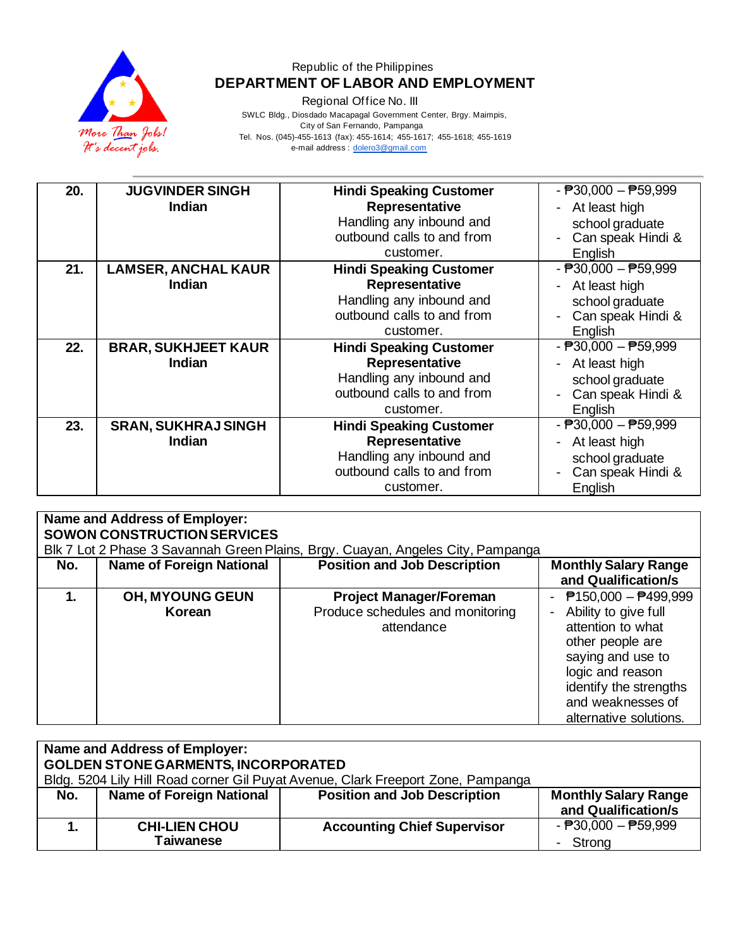

Regional Office No. III

 SWLC Bldg., Diosdado Macapagal Government Center, Brgy. Maimpis, City of San Fernando, Pampanga Tel. Nos. (045)-455-1613 (fax): 455-1614; 455-1617; 455-1618; 455-1619

e-mail address [: dolero3@gmail.com](mailto:dolero3@gmail.com)

| 20. | <b>JUGVINDER SINGH</b>     | <b>Hindi Speaking Customer</b> | $ \overline{P}30,000 - \overline{P}59,999$        |
|-----|----------------------------|--------------------------------|---------------------------------------------------|
|     | <b>Indian</b>              | Representative                 | At least high<br>$\blacksquare$                   |
|     |                            |                                |                                                   |
|     |                            | Handling any inbound and       | school graduate                                   |
|     |                            | outbound calls to and from     | Can speak Hindi &                                 |
|     |                            | customer.                      | English                                           |
| 21. | <b>LAMSER, ANCHAL KAUR</b> | <b>Hindi Speaking Customer</b> | $ \overline{P}30,000 - \overline{P}59,999$        |
|     | <b>Indian</b>              | Representative                 | At least high<br>$\blacksquare$                   |
|     |                            | Handling any inbound and       | school graduate                                   |
|     |                            | outbound calls to and from     | Can speak Hindi &<br>$\qquad \qquad \blacksquare$ |
|     |                            | customer.                      | English                                           |
| 22. | <b>BRAR, SUKHJEET KAUR</b> | <b>Hindi Speaking Customer</b> | $ \overline{P}30,000 - \overline{P}59,999$        |
|     | <b>Indian</b>              | Representative                 | At least high<br>$\blacksquare$                   |
|     |                            | Handling any inbound and       | school graduate                                   |
|     |                            | outbound calls to and from     | Can speak Hindi &                                 |
|     |                            | customer.                      | English                                           |
| 23. | <b>SRAN, SUKHRAJ SINGH</b> | <b>Hindi Speaking Customer</b> | $ \overline{P}30,000 - \overline{P}59,999$        |
|     | <b>Indian</b>              | Representative                 | At least high<br>$\qquad \qquad \blacksquare$     |
|     |                            | Handling any inbound and       | school graduate                                   |
|     |                            | outbound calls to and from     | Can speak Hindi &                                 |
|     |                            | customer.                      | English                                           |

| Name and Address of Employer:<br><b>SOWON CONSTRUCTION SERVICES</b><br>Blk 7 Lot 2 Phase 3 Savannah Green Plains, Brgy. Cuayan, Angeles City, Pampanga |                                 |                                                                                  |                                                                                                                                                                                                                  |
|--------------------------------------------------------------------------------------------------------------------------------------------------------|---------------------------------|----------------------------------------------------------------------------------|------------------------------------------------------------------------------------------------------------------------------------------------------------------------------------------------------------------|
| No.                                                                                                                                                    | <b>Name of Foreign National</b> | <b>Position and Job Description</b>                                              | <b>Monthly Salary Range</b><br>and Qualification/s                                                                                                                                                               |
|                                                                                                                                                        | OH, MYOUNG GEUN<br>Korean       | <b>Project Manager/Foreman</b><br>Produce schedules and monitoring<br>attendance | - $P$ 150,000 - $P$ 499,999<br>- Ability to give full<br>attention to what<br>other people are<br>saying and use to<br>logic and reason<br>identify the strengths<br>and weaknesses of<br>alternative solutions. |

| <b>Name and Address of Employer:</b><br><b>GOLDEN STONE GARMENTS, INCORPORATED</b><br>Bldg. 5204 Lily Hill Road corner Gil Puyat Avenue, Clark Freeport Zone, Pampanga |                                   |                                     |                                                    |
|------------------------------------------------------------------------------------------------------------------------------------------------------------------------|-----------------------------------|-------------------------------------|----------------------------------------------------|
| No.                                                                                                                                                                    | <b>Name of Foreign National</b>   | <b>Position and Job Description</b> | <b>Monthly Salary Range</b><br>and Qualification/s |
|                                                                                                                                                                        | <b>CHI-LIEN CHOU</b><br>Taiwanese | <b>Accounting Chief Supervisor</b>  | - $P30,000 - P59,999$<br>Strong                    |